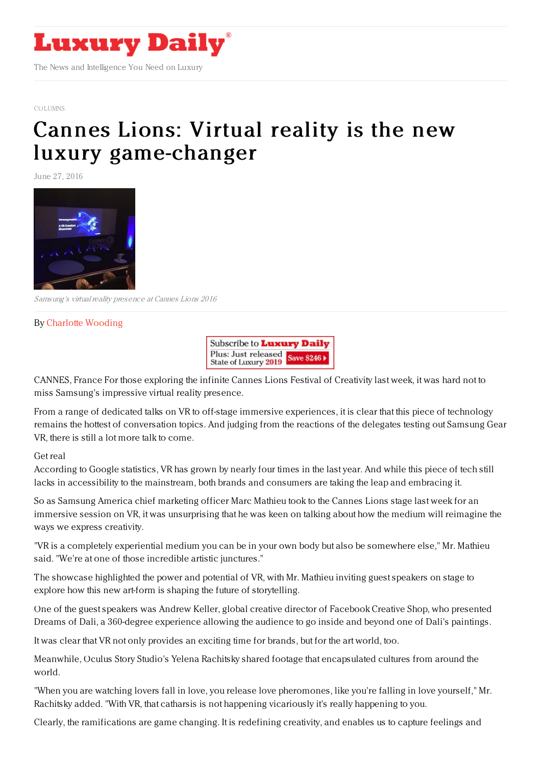

## [COLUMNS](https://www.luxurydaily.com/category/opinion/columns/)

## Cannes Lions: Virtual reality is the new luxury [game-changer](https://www.luxurydaily.com/cannes-lions-virtual-reality-is-the-new-luxury-game-changer/)

June 27, 2016



Samsung's virtual reality presence at Cannes Lions 2016

## By Charlotte [Wooding](http://www.cocoonluxury.com)



CANNES, France For those exploring the infinite Cannes Lions Festival of Creativity last week, it was hard not to miss Samsung's impressive virtual reality presence.

From a range of dedicated talks on VR to off-stage immersive experiences, it is clear that this piece of technology remains the hottest of conversation topics. And judging from the reactions of the delegates testing out Samsung Gear VR, there is still a lot more talk to come.

## Get real

According to Google statistics, VR has grown by nearly four times in the last year. And while this piece of tech still lacks in accessibility to the mainstream, both brands and consumers are taking the leap and embracing it.

So as Samsung America chief marketing officer Marc Mathieu took to the Cannes Lions stage last week for an immersive session on VR, it was unsurprising that he was keen on talking about how the medium will reimagine the ways we express creativity.

"VR is a completely experiential medium you can be in your own body but also be somewhere else," Mr. Mathieu said. "We're at one of those incredible artistic junctures."

The showcase highlighted the power and potential of VR, with Mr. Mathieu inviting guest speakers on stage to explore how this new art-form is shaping the future of storytelling.

One of the guest speakers was Andrew Keller, global creative director of Facebook Creative Shop, who presented Dreams of Dali, a 360-degree experience allowing the audience to go inside and beyond one of Dali's paintings.

It was clear that VR not only provides an exciting time for brands, but for the art world, too.

Meanwhile, Oculus Story Studio's Yelena Rachitsky shared footage that encapsulated cultures from around the world.

"When you are watching lovers fall in love, you release love pheromones, like you're falling in love yourself," Mr. Rachitsky added. "With VR, that catharsis is not happening vicariously it's really happening to you.

Clearly, the ramifications are game changing. It is redefining creativity, and enables us to capture feelings and